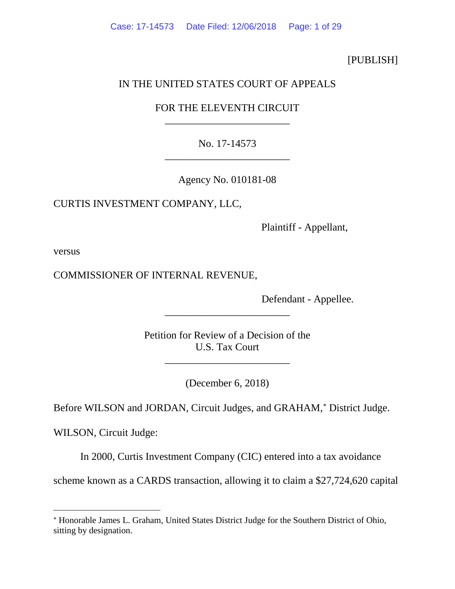## [PUBLISH]

# IN THE UNITED STATES COURT OF APPEALS

# FOR THE ELEVENTH CIRCUIT \_\_\_\_\_\_\_\_\_\_\_\_\_\_\_\_\_\_\_\_\_\_\_\_

# No. 17-14573 \_\_\_\_\_\_\_\_\_\_\_\_\_\_\_\_\_\_\_\_\_\_\_\_

Agency No. 010181-08

# CURTIS INVESTMENT COMPANY, LLC,

Plaintiff - Appellant,

versus

 $\overline{a}$ 

# COMMISSIONER OF INTERNAL REVENUE,

Defendant - Appellee.

Petition for Review of a Decision of the U.S. Tax Court

\_\_\_\_\_\_\_\_\_\_\_\_\_\_\_\_\_\_\_\_\_\_\_\_

\_\_\_\_\_\_\_\_\_\_\_\_\_\_\_\_\_\_\_\_\_\_\_\_

(December 6, 2018)

Before WILSON and JORDAN, Circuit Judges, and GRAHAM,<sup>\*</sup> District Judge.

WILSON, Circuit Judge:

In 2000, Curtis Investment Company (CIC) entered into a tax avoidance

scheme known as a CARDS transaction, allowing it to claim a \$27,724,620 capital

<span id="page-0-0"></span><sup>∗</sup> Honorable James L. Graham, United States District Judge for the Southern District of Ohio, sitting by designation.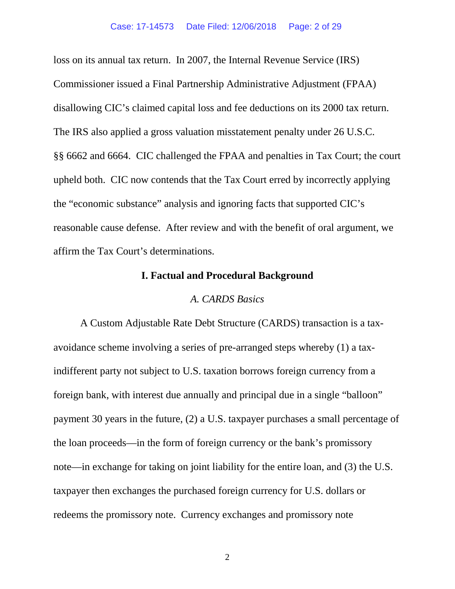loss on its annual tax return. In 2007, the Internal Revenue Service (IRS) Commissioner issued a Final Partnership Administrative Adjustment (FPAA) disallowing CIC's claimed capital loss and fee deductions on its 2000 tax return. The IRS also applied a gross valuation misstatement penalty under 26 U.S.C. §§ 6662 and 6664. CIC challenged the FPAA and penalties in Tax Court; the court upheld both. CIC now contends that the Tax Court erred by incorrectly applying the "economic substance" analysis and ignoring facts that supported CIC's reasonable cause defense. After review and with the benefit of oral argument, we affirm the Tax Court's determinations.

# **I. Factual and Procedural Background**

### *A. CARDS Basics*

A Custom Adjustable Rate Debt Structure (CARDS) transaction is a taxavoidance scheme involving a series of pre-arranged steps whereby (1) a taxindifferent party not subject to U.S. taxation borrows foreign currency from a foreign bank, with interest due annually and principal due in a single "balloon" payment 30 years in the future, (2) a U.S. taxpayer purchases a small percentage of the loan proceeds—in the form of foreign currency or the bank's promissory note—in exchange for taking on joint liability for the entire loan, and (3) the U.S. taxpayer then exchanges the purchased foreign currency for U.S. dollars or redeems the promissory note. Currency exchanges and promissory note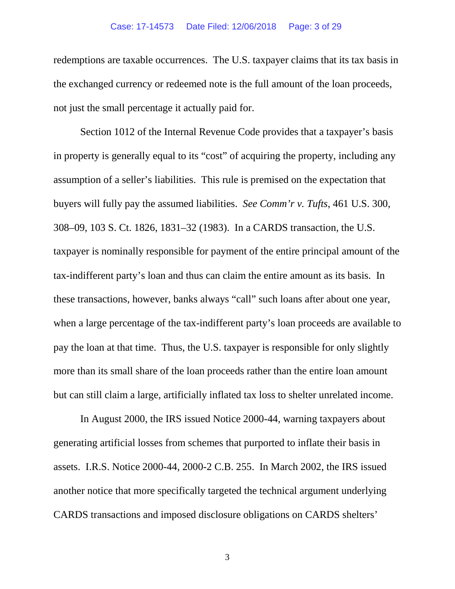#### Case: 17-14573 Date Filed: 12/06/2018 Page: 3 of 29

redemptions are taxable occurrences. The U.S. taxpayer claims that its tax basis in the exchanged currency or redeemed note is the full amount of the loan proceeds, not just the small percentage it actually paid for.

Section 1012 of the Internal Revenue Code provides that a taxpayer's basis in property is generally equal to its "cost" of acquiring the property, including any assumption of a seller's liabilities. This rule is premised on the expectation that buyers will fully pay the assumed liabilities. *See Comm'r v. Tufts*, 461 U.S. 300, 308–09, 103 S. Ct. 1826, 1831–32 (1983). In a CARDS transaction, the U.S. taxpayer is nominally responsible for payment of the entire principal amount of the tax-indifferent party's loan and thus can claim the entire amount as its basis. In these transactions, however, banks always "call" such loans after about one year, when a large percentage of the tax-indifferent party's loan proceeds are available to pay the loan at that time. Thus, the U.S. taxpayer is responsible for only slightly more than its small share of the loan proceeds rather than the entire loan amount but can still claim a large, artificially inflated tax loss to shelter unrelated income.

In August 2000, the IRS issued Notice 2000-44, warning taxpayers about generating artificial losses from schemes that purported to inflate their basis in assets. I.R.S. Notice 2000-44, 2000-2 C.B. 255. In March 2002, the IRS issued another notice that more specifically targeted the technical argument underlying CARDS transactions and imposed disclosure obligations on CARDS shelters'

3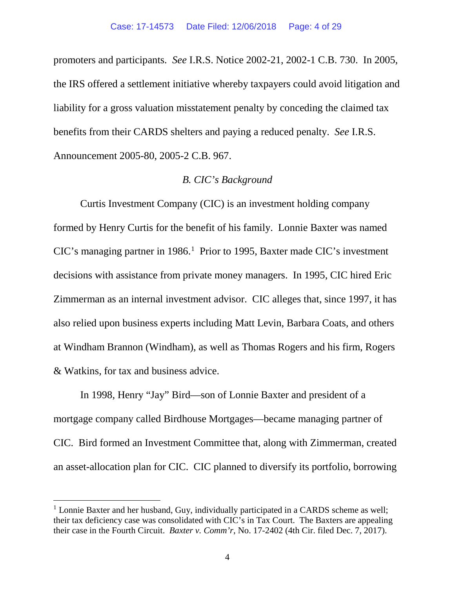promoters and participants. *See* I.R.S. Notice 2002-21, 2002-1 C.B. 730. In 2005, the IRS offered a settlement initiative whereby taxpayers could avoid litigation and liability for a gross valuation misstatement penalty by conceding the claimed tax benefits from their CARDS shelters and paying a reduced penalty. *See* I.R.S. Announcement 2005-80, 2005-2 C.B. 967.

# *B. CIC's Background*

Curtis Investment Company (CIC) is an investment holding company formed by Henry Curtis for the benefit of his family. Lonnie Baxter was named CIC's managing partner in [1](#page-3-0)986.<sup>1</sup> Prior to 1995, Baxter made CIC's investment decisions with assistance from private money managers. In 1995, CIC hired Eric Zimmerman as an internal investment advisor. CIC alleges that, since 1997, it has also relied upon business experts including Matt Levin, Barbara Coats, and others at Windham Brannon (Windham), as well as Thomas Rogers and his firm, Rogers & Watkins, for tax and business advice.

In 1998, Henry "Jay" Bird—son of Lonnie Baxter and president of a mortgage company called Birdhouse Mortgages—became managing partner of CIC. Bird formed an Investment Committee that, along with Zimmerman, created an asset-allocation plan for CIC. CIC planned to diversify its portfolio, borrowing

<span id="page-3-0"></span><sup>&</sup>lt;sup>1</sup> Lonnie Baxter and her husband, Guy, individually participated in a CARDS scheme as well; their tax deficiency case was consolidated with CIC's in Tax Court. The Baxters are appealing their case in the Fourth Circuit. *Baxter v. Comm'r*, No. 17-2402 (4th Cir. filed Dec. 7, 2017).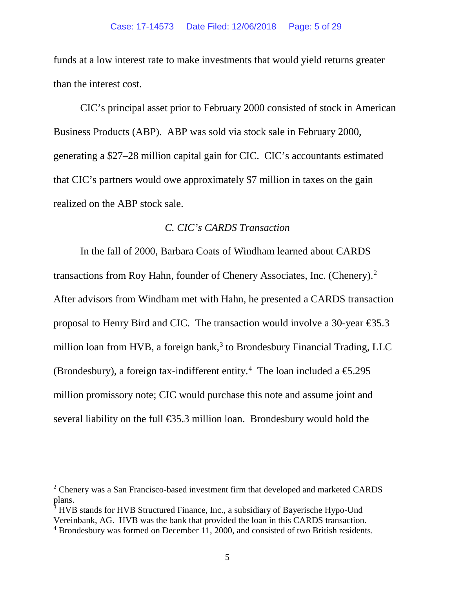funds at a low interest rate to make investments that would yield returns greater than the interest cost.

CIC's principal asset prior to February 2000 consisted of stock in American Business Products (ABP). ABP was sold via stock sale in February 2000, generating a \$27–28 million capital gain for CIC. CIC's accountants estimated that CIC's partners would owe approximately \$7 million in taxes on the gain realized on the ABP stock sale.

## *C. CIC's CARDS Transaction*

In the fall of 2000, Barbara Coats of Windham learned about CARDS transactions from Roy Hahn, founder of Chenery Associates, Inc. (Chenery).<sup>[2](#page-4-0)</sup> After advisors from Windham met with Hahn, he presented a CARDS transaction proposal to Henry Bird and CIC. The transaction would involve a 30-year  $\epsilon$ 35.3 million loan from HVB, a foreign bank, $3$  to Brondesbury Financial Trading, LLC (Brondesbury), a foreign tax-indifferent entity.<sup>[4](#page-4-2)</sup> The loan included a  $\epsilon$ 5.295 million promissory note; CIC would purchase this note and assume joint and several liability on the full €35.3 million loan. Brondesbury would hold the

<span id="page-4-0"></span><sup>&</sup>lt;sup>2</sup> Chenery was a San Francisco-based investment firm that developed and marketed CARDS plans.

<span id="page-4-1"></span><sup>&</sup>lt;sup>3</sup> HVB stands for HVB Structured Finance, Inc., a subsidiary of Bayerische Hypo-Und Vereinbank, AG. HVB was the bank that provided the loan in this CARDS transaction.

<span id="page-4-2"></span><sup>4</sup> Brondesbury was formed on December 11, 2000, and consisted of two British residents.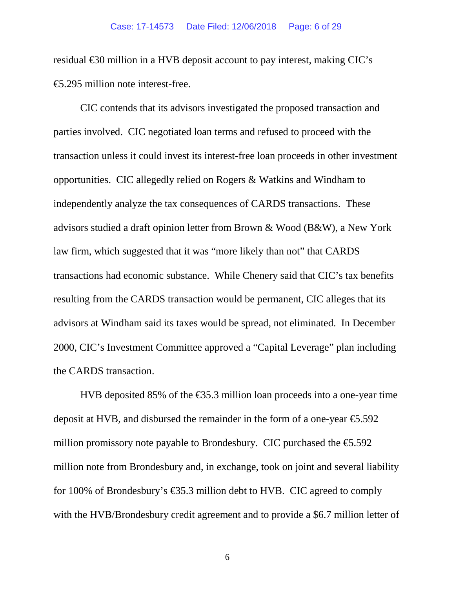residual €30 million in a HVB deposit account to pay interest, making CIC's €5.295 million note interest-free.

CIC contends that its advisors investigated the proposed transaction and parties involved. CIC negotiated loan terms and refused to proceed with the transaction unless it could invest its interest-free loan proceeds in other investment opportunities. CIC allegedly relied on Rogers & Watkins and Windham to independently analyze the tax consequences of CARDS transactions. These advisors studied a draft opinion letter from Brown & Wood (B&W), a New York law firm, which suggested that it was "more likely than not" that CARDS transactions had economic substance. While Chenery said that CIC's tax benefits resulting from the CARDS transaction would be permanent, CIC alleges that its advisors at Windham said its taxes would be spread, not eliminated. In December 2000, CIC's Investment Committee approved a "Capital Leverage" plan including the CARDS transaction.

HVB deposited 85% of the  $\epsilon$ 35.3 million loan proceeds into a one-year time deposit at HVB, and disbursed the remainder in the form of a one-year  $\epsilon$ 5.592 million promissory note payable to Brondesbury. CIC purchased the  $\epsilon$ 5.592 million note from Brondesbury and, in exchange, took on joint and several liability for 100% of Brondesbury's  $\epsilon$ 35.3 million debt to HVB. CIC agreed to comply with the HVB/Brondesbury credit agreement and to provide a \$6.7 million letter of

6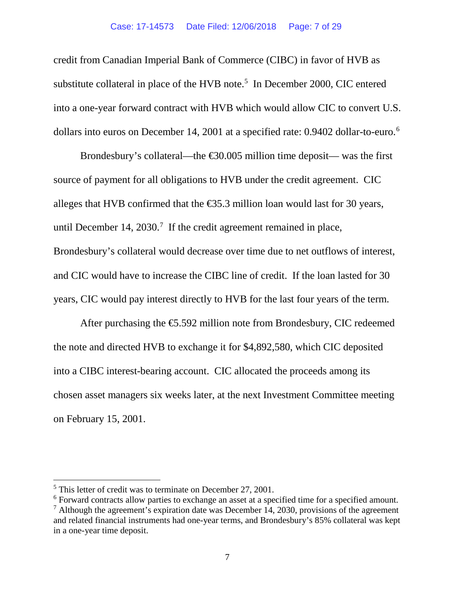#### Case: 17-14573 Date Filed: 12/06/2018 Page: 7 of 29

credit from Canadian Imperial Bank of Commerce (CIBC) in favor of HVB as substitute collateral in place of the HVB note.<sup>[5](#page-6-0)</sup> In December 2000, CIC entered into a one-year forward contract with HVB which would allow CIC to convert U.S. dollars into euros on December 14, 2001 at a specified rate: 0.9402 dollar-to-euro.<sup>[6](#page-6-1)</sup>

Brondesbury's collateral—the  $\text{\textsterling}30.005$  million time deposit— was the first source of payment for all obligations to HVB under the credit agreement. CIC alleges that HVB confirmed that the  $\epsilon$ 35.3 million loan would last for 30 years, until December 14, 2030.<sup>[7](#page-6-2)</sup> If the credit agreement remained in place, Brondesbury's collateral would decrease over time due to net outflows of interest, and CIC would have to increase the CIBC line of credit. If the loan lasted for 30 years, CIC would pay interest directly to HVB for the last four years of the term.

After purchasing the  $\epsilon$ 5.592 million note from Brondesbury, CIC redeemed the note and directed HVB to exchange it for \$4,892,580, which CIC deposited into a CIBC interest-bearing account. CIC allocated the proceeds among its chosen asset managers six weeks later, at the next Investment Committee meeting on February 15, 2001.

<span id="page-6-0"></span><sup>&</sup>lt;sup>5</sup> This letter of credit was to terminate on December 27, 2001.

<span id="page-6-1"></span><sup>&</sup>lt;sup>6</sup> Forward contracts allow parties to exchange an asset at a specified time for a specified amount.

<span id="page-6-2"></span> $<sup>7</sup>$  Although the agreement's expiration date was December 14, 2030, provisions of the agreement</sup> and related financial instruments had one-year terms, and Brondesbury's 85% collateral was kept in a one-year time deposit.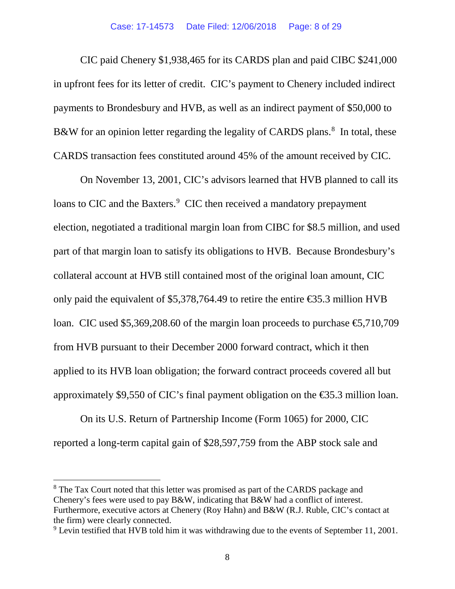CIC paid Chenery \$1,938,465 for its CARDS plan and paid CIBC \$241,000 in upfront fees for its letter of credit. CIC's payment to Chenery included indirect payments to Brondesbury and HVB, as well as an indirect payment of \$50,000 to B&W for an opinion letter regarding the legality of CARDS plans.<sup>[8](#page-7-0)</sup> In total, these CARDS transaction fees constituted around 45% of the amount received by CIC.

On November 13, 2001, CIC's advisors learned that HVB planned to call its loans to CIC and the Baxters.<sup>[9](#page-7-1)</sup> CIC then received a mandatory prepayment election, negotiated a traditional margin loan from CIBC for \$8.5 million, and used part of that margin loan to satisfy its obligations to HVB. Because Brondesbury's collateral account at HVB still contained most of the original loan amount, CIC only paid the equivalent of \$5,378,764.49 to retire the entire  $\epsilon$ \$5.3 million HVB loan. CIC used \$5,369,208.60 of the margin loan proceeds to purchase  $\epsilon$ 5,710,709 from HVB pursuant to their December 2000 forward contract, which it then applied to its HVB loan obligation; the forward contract proceeds covered all but approximately \$9,550 of CIC's final payment obligation on the  $\epsilon$ 35.3 million loan.

On its U.S. Return of Partnership Income (Form 1065) for 2000, CIC reported a long-term capital gain of \$28,597,759 from the ABP stock sale and

<span id="page-7-0"></span><sup>&</sup>lt;sup>8</sup> The Tax Court noted that this letter was promised as part of the CARDS package and Chenery's fees were used to pay B&W, indicating that B&W had a conflict of interest. Furthermore, executive actors at Chenery (Roy Hahn) and B&W (R.J. Ruble, CIC's contact at the firm) were clearly connected.

<span id="page-7-1"></span> $9$  Levin testified that HVB told him it was withdrawing due to the events of September 11, 2001.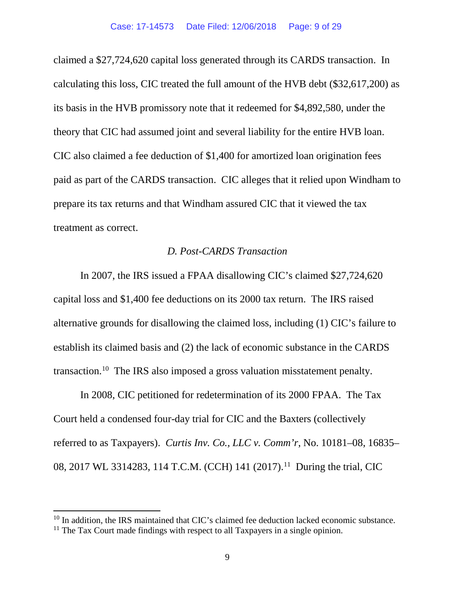claimed a \$27,724,620 capital loss generated through its CARDS transaction. In calculating this loss, CIC treated the full amount of the HVB debt (\$32,617,200) as its basis in the HVB promissory note that it redeemed for \$4,892,580, under the theory that CIC had assumed joint and several liability for the entire HVB loan. CIC also claimed a fee deduction of \$1,400 for amortized loan origination fees paid as part of the CARDS transaction. CIC alleges that it relied upon Windham to prepare its tax returns and that Windham assured CIC that it viewed the tax treatment as correct.

# *D. Post-CARDS Transaction*

In 2007, the IRS issued a FPAA disallowing CIC's claimed \$27,724,620 capital loss and \$1,400 fee deductions on its 2000 tax return. The IRS raised alternative grounds for disallowing the claimed loss, including (1) CIC's failure to establish its claimed basis and (2) the lack of economic substance in the CARDS transaction[.10](#page-8-0) The IRS also imposed a gross valuation misstatement penalty.

In 2008, CIC petitioned for redetermination of its 2000 FPAA. The Tax Court held a condensed four-day trial for CIC and the Baxters (collectively referred to as Taxpayers). *Curtis Inv. Co., LLC v. Comm'r*, No. 10181–08, 16835– 08, 2017 WL 3314283, [11](#page-8-1)4 T.C.M. (CCH) 141 (2017).<sup>11</sup> During the trial, CIC

<span id="page-8-0"></span><sup>&</sup>lt;sup>10</sup> In addition, the IRS maintained that CIC's claimed fee deduction lacked economic substance.

<span id="page-8-1"></span> $11$  The Tax Court made findings with respect to all Taxpayers in a single opinion.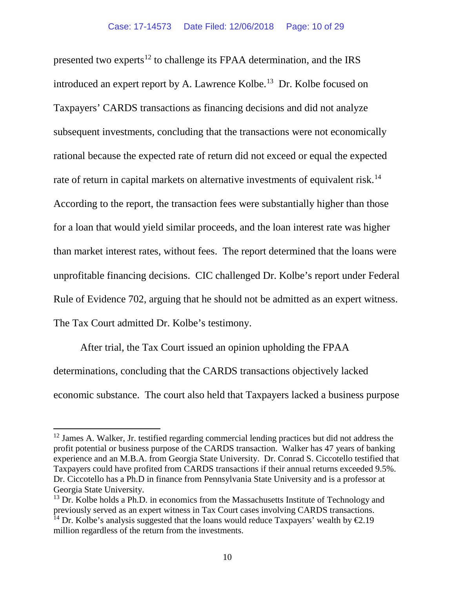presented two experts<sup>[12](#page-9-0)</sup> to challenge its FPAA determination, and the IRS introduced an expert report by A. Lawrence Kolbe.<sup>[13](#page-9-1)</sup> Dr. Kolbe focused on Taxpayers' CARDS transactions as financing decisions and did not analyze subsequent investments, concluding that the transactions were not economically rational because the expected rate of return did not exceed or equal the expected rate of return in capital markets on alternative investments of equivalent risk.<sup>[14](#page-9-2)</sup> According to the report, the transaction fees were substantially higher than those for a loan that would yield similar proceeds, and the loan interest rate was higher than market interest rates, without fees. The report determined that the loans were unprofitable financing decisions. CIC challenged Dr. Kolbe's report under Federal Rule of Evidence 702, arguing that he should not be admitted as an expert witness. The Tax Court admitted Dr. Kolbe's testimony.

After trial, the Tax Court issued an opinion upholding the FPAA determinations, concluding that the CARDS transactions objectively lacked economic substance. The court also held that Taxpayers lacked a business purpose

<span id="page-9-0"></span> $12$  James A. Walker, Jr. testified regarding commercial lending practices but did not address the profit potential or business purpose of the CARDS transaction. Walker has 47 years of banking experience and an M.B.A. from Georgia State University. Dr. Conrad S. Ciccotello testified that Taxpayers could have profited from CARDS transactions if their annual returns exceeded 9.5%. Dr. Ciccotello has a Ph.D in finance from Pennsylvania State University and is a professor at Georgia State University.

<span id="page-9-2"></span><span id="page-9-1"></span> $13$  Dr. Kolbe holds a Ph.D. in economics from the Massachusetts Institute of Technology and previously served as an expert witness in Tax Court cases involving CARDS transactions. <sup>14</sup> Dr. Kolbe's analysis suggested that the loans would reduce Taxpayers' wealth by  $\epsilon 2.19$ million regardless of the return from the investments.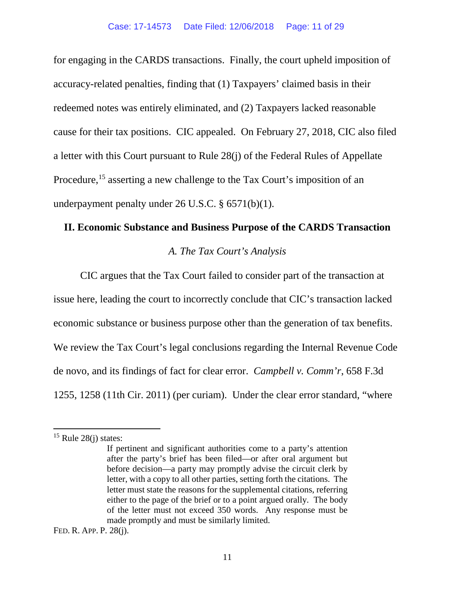for engaging in the CARDS transactions. Finally, the court upheld imposition of accuracy-related penalties, finding that (1) Taxpayers' claimed basis in their redeemed notes was entirely eliminated, and (2) Taxpayers lacked reasonable cause for their tax positions. CIC appealed. On February 27, 2018, CIC also filed a letter with this Court pursuant to Rule 28(j) of the Federal Rules of Appellate Procedure,<sup>[15](#page-10-0)</sup> asserting a new challenge to the Tax Court's imposition of an underpayment penalty under 26 U.S.C. § 6571(b)(1).

# **II. Economic Substance and Business Purpose of the CARDS Transaction**

## *A. The Tax Court's Analysis*

CIC argues that the Tax Court failed to consider part of the transaction at issue here, leading the court to incorrectly conclude that CIC's transaction lacked economic substance or business purpose other than the generation of tax benefits. We review the Tax Court's legal conclusions regarding the Internal Revenue Code de novo, and its findings of fact for clear error. *Campbell v. Comm'r*, 658 F.3d 1255, 1258 (11th Cir. 2011) (per curiam). Under the clear error standard, "where

FED. R. APP. P. 28(j).

<span id="page-10-0"></span> $15$  Rule 28(j) states:

If pertinent and significant authorities come to a party's attention after the party's brief has been filed—or after oral argument but before decision—a party may promptly advise the circuit clerk by letter, with a copy to all other parties, setting forth the citations. The letter must state the reasons for the supplemental citations, referring either to the page of the brief or to a point argued orally. The body of the letter must not exceed 350 words. Any response must be made promptly and must be similarly limited.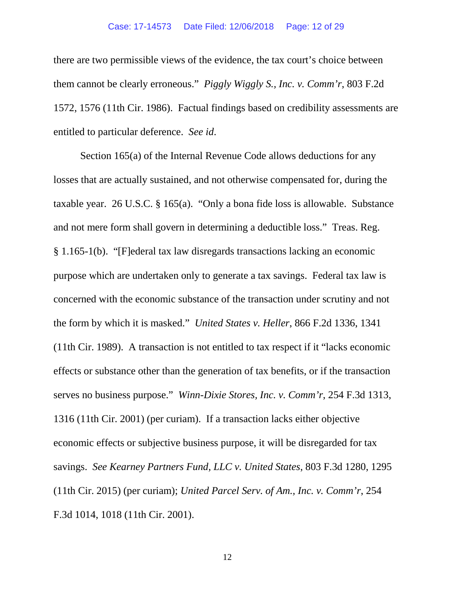there are two permissible views of the evidence, the tax court's choice between them cannot be clearly erroneous." *Piggly Wiggly S., Inc. v. Comm'r*, 803 F.2d 1572, 1576 (11th Cir. 1986). Factual findings based on credibility assessments are entitled to particular deference. *See id*.

Section 165(a) of the Internal Revenue Code allows deductions for any losses that are actually sustained, and not otherwise compensated for, during the taxable year. 26 U.S.C. § 165(a). "Only a bona fide loss is allowable. Substance and not mere form shall govern in determining a deductible loss." Treas. Reg. § 1.165-1(b). "[F]ederal tax law disregards transactions lacking an economic purpose which are undertaken only to generate a tax savings. Federal tax law is concerned with the economic substance of the transaction under scrutiny and not the form by which it is masked." *United States v. Heller*, 866 F.2d 1336, 1341 (11th Cir. 1989). A transaction is not entitled to tax respect if it "lacks economic effects or substance other than the generation of tax benefits, or if the transaction serves no business purpose." *Winn-Dixie Stores, Inc. v. Comm'r*, 254 F.3d 1313, 1316 (11th Cir. 2001) (per curiam). If a transaction lacks either objective economic effects or subjective business purpose, it will be disregarded for tax savings. *See Kearney Partners Fund, LLC v. United States*, 803 F.3d 1280, 1295 (11th Cir. 2015) (per curiam); *United Parcel Serv. of Am., Inc. v. Comm'r*, 254 F.3d 1014, 1018 (11th Cir. 2001).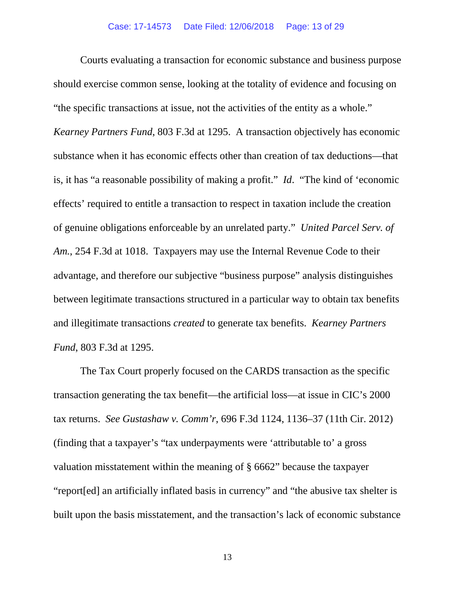Courts evaluating a transaction for economic substance and business purpose should exercise common sense, looking at the totality of evidence and focusing on "the specific transactions at issue, not the activities of the entity as a whole." *Kearney Partners Fund*, 803 F.3d at 1295. A transaction objectively has economic substance when it has economic effects other than creation of tax deductions—that is, it has "a reasonable possibility of making a profit." *Id*. "The kind of 'economic effects' required to entitle a transaction to respect in taxation include the creation of genuine obligations enforceable by an unrelated party." *United Parcel Serv. of Am.*, 254 F.3d at 1018. Taxpayers may use the Internal Revenue Code to their advantage, and therefore our subjective "business purpose" analysis distinguishes between legitimate transactions structured in a particular way to obtain tax benefits and illegitimate transactions *created* to generate tax benefits. *Kearney Partners Fund*, 803 F.3d at 1295.

The Tax Court properly focused on the CARDS transaction as the specific transaction generating the tax benefit—the artificial loss—at issue in CIC's 2000 tax returns. *See Gustashaw v. Comm'r*, 696 F.3d 1124, 1136–37 (11th Cir. 2012) (finding that a taxpayer's "tax underpayments were 'attributable to' a gross valuation misstatement within the meaning of § 6662" because the taxpayer "report[ed] an artificially inflated basis in currency" and "the abusive tax shelter is built upon the basis misstatement, and the transaction's lack of economic substance

13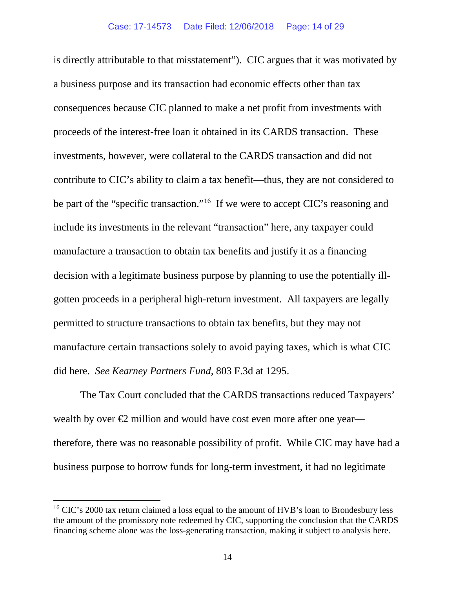is directly attributable to that misstatement"). CIC argues that it was motivated by a business purpose and its transaction had economic effects other than tax consequences because CIC planned to make a net profit from investments with proceeds of the interest-free loan it obtained in its CARDS transaction. These investments, however, were collateral to the CARDS transaction and did not contribute to CIC's ability to claim a tax benefit—thus, they are not considered to be part of the "specific transaction."<sup>16</sup> If we were to accept CIC's reasoning and include its investments in the relevant "transaction" here, any taxpayer could manufacture a transaction to obtain tax benefits and justify it as a financing decision with a legitimate business purpose by planning to use the potentially illgotten proceeds in a peripheral high-return investment. All taxpayers are legally permitted to structure transactions to obtain tax benefits, but they may not manufacture certain transactions solely to avoid paying taxes, which is what CIC did here. *See Kearney Partners Fund*, 803 F.3d at 1295.

The Tax Court concluded that the CARDS transactions reduced Taxpayers' wealth by over  $\bigoplus$  million and would have cost even more after one year therefore, there was no reasonable possibility of profit. While CIC may have had a business purpose to borrow funds for long-term investment, it had no legitimate

<span id="page-13-0"></span><sup>&</sup>lt;sup>16</sup> CIC's 2000 tax return claimed a loss equal to the amount of HVB's loan to Brondesbury less the amount of the promissory note redeemed by CIC, supporting the conclusion that the CARDS financing scheme alone was the loss-generating transaction, making it subject to analysis here.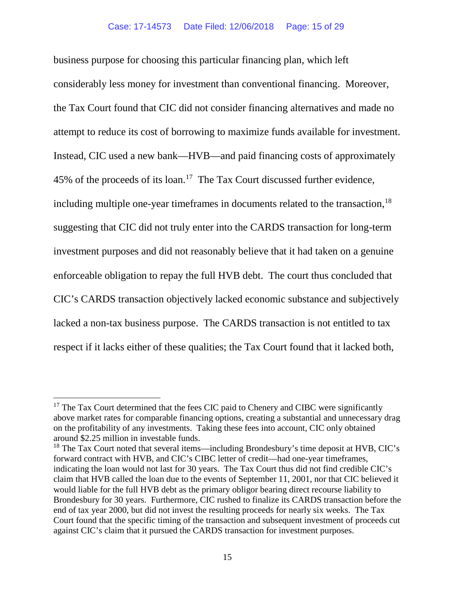business purpose for choosing this particular financing plan, which left considerably less money for investment than conventional financing. Moreover, the Tax Court found that CIC did not consider financing alternatives and made no attempt to reduce its cost of borrowing to maximize funds available for investment. Instead, CIC used a new bank—HVB—and paid financing costs of approximately 45% of the proceeds of its loan.[17](#page-14-0) The Tax Court discussed further evidence, including multiple one-year timeframes in documents related to the transaction, $^{18}$  $^{18}$  $^{18}$ suggesting that CIC did not truly enter into the CARDS transaction for long-term investment purposes and did not reasonably believe that it had taken on a genuine enforceable obligation to repay the full HVB debt. The court thus concluded that CIC's CARDS transaction objectively lacked economic substance and subjectively lacked a non-tax business purpose. The CARDS transaction is not entitled to tax respect if it lacks either of these qualities; the Tax Court found that it lacked both,

<span id="page-14-0"></span> $17$  The Tax Court determined that the fees CIC paid to Chenery and CIBC were significantly above market rates for comparable financing options, creating a substantial and unnecessary drag on the profitability of any investments. Taking these fees into account, CIC only obtained around \$2.25 million in investable funds.

<span id="page-14-1"></span><sup>&</sup>lt;sup>18</sup> The Tax Court noted that several items—including Brondesbury's time deposit at HVB, CIC's forward contract with HVB, and CIC's CIBC letter of credit—had one-year timeframes, indicating the loan would not last for 30 years. The Tax Court thus did not find credible CIC's claim that HVB called the loan due to the events of September 11, 2001, nor that CIC believed it would liable for the full HVB debt as the primary obligor bearing direct recourse liability to Brondesbury for 30 years. Furthermore, CIC rushed to finalize its CARDS transaction before the end of tax year 2000, but did not invest the resulting proceeds for nearly six weeks. The Tax Court found that the specific timing of the transaction and subsequent investment of proceeds cut against CIC's claim that it pursued the CARDS transaction for investment purposes.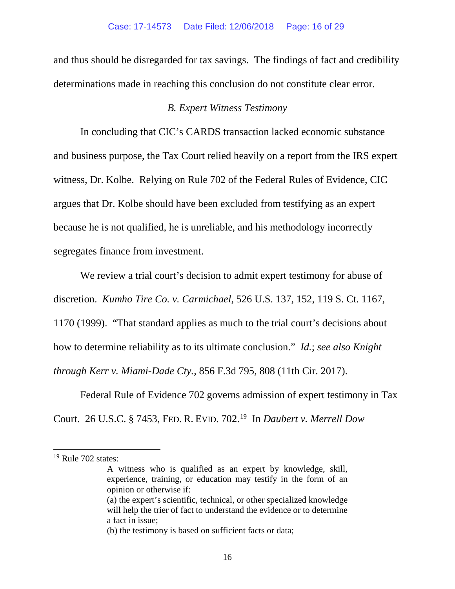and thus should be disregarded for tax savings. The findings of fact and credibility determinations made in reaching this conclusion do not constitute clear error.

# *B. Expert Witness Testimony*

In concluding that CIC's CARDS transaction lacked economic substance and business purpose, the Tax Court relied heavily on a report from the IRS expert witness, Dr. Kolbe. Relying on Rule 702 of the Federal Rules of Evidence, CIC argues that Dr. Kolbe should have been excluded from testifying as an expert because he is not qualified, he is unreliable, and his methodology incorrectly segregates finance from investment.

We review a trial court's decision to admit expert testimony for abuse of discretion. *Kumho Tire Co. v. Carmichael*, 526 U.S. 137, 152, 119 S. Ct. 1167, 1170 (1999). "That standard applies as much to the trial court's decisions about how to determine reliability as to its ultimate conclusion." *Id.*; *see also Knight through Kerr v. Miami-Dade Cty.*, 856 F.3d 795, 808 (11th Cir. 2017).

Federal Rule of Evidence 702 governs admission of expert testimony in Tax Court. 26 U.S.C. § 7453, FED. R. EVID. 702. [19](#page-15-0) In *Daubert v. Merrell Dow* 

<span id="page-15-0"></span> $19$  Rule 702 states:

A witness who is qualified as an expert by knowledge, skill, experience, training, or education may testify in the form of an opinion or otherwise if: (a) the expert's scientific, technical, or other specialized knowledge

will help the trier of fact to understand the evidence or to determine a fact in issue;

<sup>(</sup>b) the testimony is based on sufficient facts or data;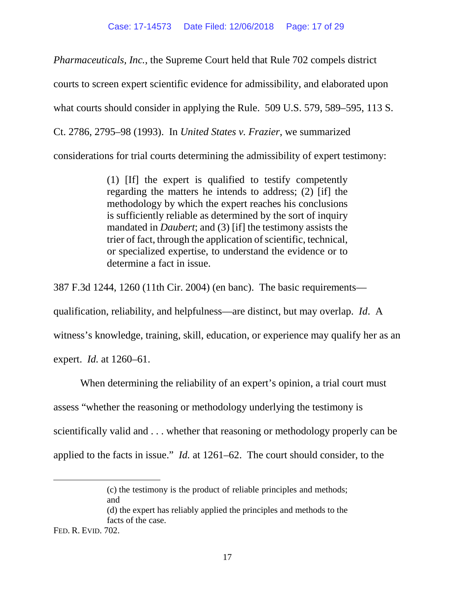*Pharmaceuticals, Inc.*, the Supreme Court held that Rule 702 compels district courts to screen expert scientific evidence for admissibility, and elaborated upon what courts should consider in applying the Rule. 509 U.S. 579, 589–595, 113 S. Ct. 2786, 2795–98 (1993). In *United States v. Frazier*, we summarized considerations for trial courts determining the admissibility of expert testimony:

> (1) [If] the expert is qualified to testify competently regarding the matters he intends to address; (2) [if] the methodology by which the expert reaches his conclusions is sufficiently reliable as determined by the sort of inquiry mandated in *Daubert*; and (3) [if] the testimony assists the trier of fact, through the application of scientific, technical, or specialized expertise, to understand the evidence or to determine a fact in issue.

387 F.3d 1244, 1260 (11th Cir. 2004) (en banc). The basic requirements qualification, reliability, and helpfulness—are distinct, but may overlap. *Id*. A witness's knowledge, training, skill, education, or experience may qualify her as an expert. *Id.* at 1260–61.

When determining the reliability of an expert's opinion, a trial court must assess "whether the reasoning or methodology underlying the testimony is scientifically valid and . . . whether that reasoning or methodology properly can be applied to the facts in issue." *Id.* at 1261–62. The court should consider, to the

 $\overline{a}$ 

<sup>(</sup>c) the testimony is the product of reliable principles and methods; and

<sup>(</sup>d) the expert has reliably applied the principles and methods to the facts of the case.

FED. R. EVID. 702.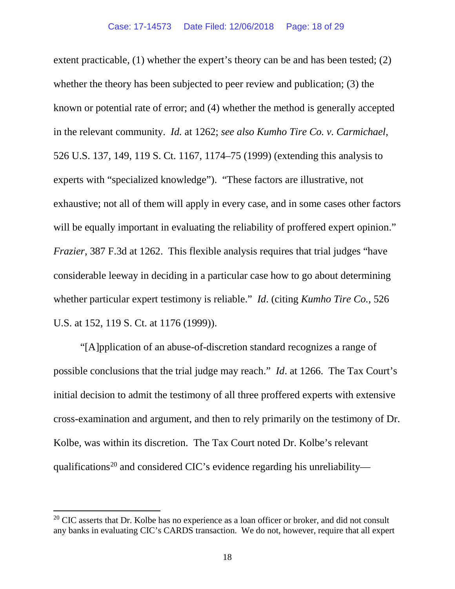extent practicable, (1) whether the expert's theory can be and has been tested; (2) whether the theory has been subjected to peer review and publication; (3) the known or potential rate of error; and (4) whether the method is generally accepted in the relevant community. *Id.* at 1262; *see also Kumho Tire Co. v. Carmichael*, 526 U.S. 137, 149, 119 S. Ct. 1167, 1174–75 (1999) (extending this analysis to experts with "specialized knowledge"). "These factors are illustrative, not exhaustive; not all of them will apply in every case, and in some cases other factors will be equally important in evaluating the reliability of proffered expert opinion." *Frazier*, 387 F.3d at 1262. This flexible analysis requires that trial judges "have considerable leeway in deciding in a particular case how to go about determining whether particular expert testimony is reliable." *Id*. (citing *Kumho Tire Co.*, 526 U.S. at 152, 119 S. Ct. at 1176 (1999)).

"[A]pplication of an abuse-of-discretion standard recognizes a range of possible conclusions that the trial judge may reach." *Id*. at 1266. The Tax Court's initial decision to admit the testimony of all three proffered experts with extensive cross-examination and argument, and then to rely primarily on the testimony of Dr. Kolbe, was within its discretion. The Tax Court noted Dr. Kolbe's relevant qualifications<sup>[20](#page-17-0)</sup> and considered CIC's evidence regarding his unreliability—

<span id="page-17-0"></span> $20$  CIC asserts that Dr. Kolbe has no experience as a loan officer or broker, and did not consult any banks in evaluating CIC's CARDS transaction. We do not, however, require that all expert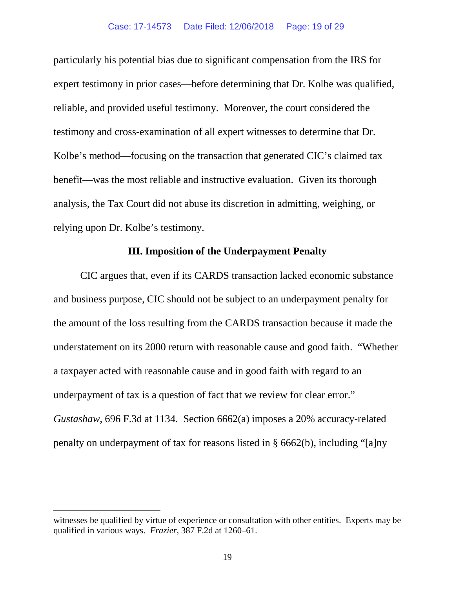particularly his potential bias due to significant compensation from the IRS for expert testimony in prior cases—before determining that Dr. Kolbe was qualified, reliable, and provided useful testimony. Moreover, the court considered the testimony and cross-examination of all expert witnesses to determine that Dr. Kolbe's method—focusing on the transaction that generated CIC's claimed tax benefit—was the most reliable and instructive evaluation. Given its thorough analysis, the Tax Court did not abuse its discretion in admitting, weighing, or relying upon Dr. Kolbe's testimony.

# **III. Imposition of the Underpayment Penalty**

CIC argues that, even if its CARDS transaction lacked economic substance and business purpose, CIC should not be subject to an underpayment penalty for the amount of the loss resulting from the CARDS transaction because it made the understatement on its 2000 return with reasonable cause and good faith. "Whether a taxpayer acted with reasonable cause and in good faith with regard to an underpayment of tax is a question of fact that we review for clear error." *Gustashaw*, 696 F.3d at 1134. Section 6662(a) imposes a 20% accuracy-related penalty on underpayment of tax for reasons listed in § 6662(b), including "[a]ny

 $\overline{a}$ 

witnesses be qualified by virtue of experience or consultation with other entities. Experts may be qualified in various ways. *Frazier*, 387 F.2d at 1260–61.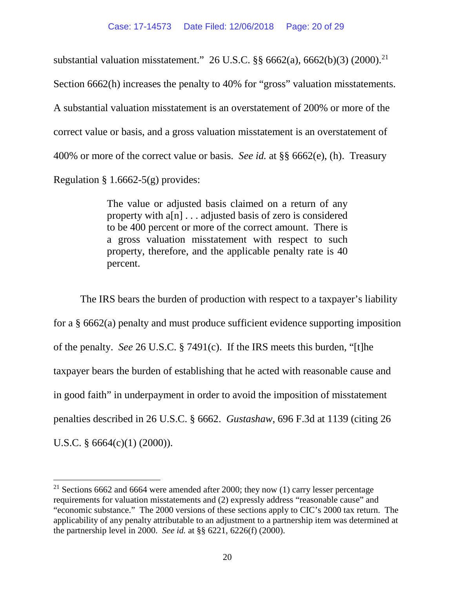substantial valuation misstatement." 26 U.S.C.  $\S\S 6662(a)$ , 6662(b)(3) (2000).<sup>21</sup> Section 6662(h) increases the penalty to 40% for "gross" valuation misstatements. A substantial valuation misstatement is an overstatement of 200% or more of the correct value or basis, and a gross valuation misstatement is an overstatement of 400% or more of the correct value or basis. *See id.* at §§ 6662(e), (h). Treasury Regulation  $\S 1.6662-5(g)$  provides:

> The [value](https://www.law.cornell.edu/definitions/index.php?width=840&height=800&iframe=true&def_id=bb8c1f064f7d690fee9a693abff4d271&term_occur=16&term_src=Title:26:Chapter:I:Subchapter:A:Part:1:Subjgrp:17:1.6662-5) or [adjusted basis](https://www.law.cornell.edu/definitions/index.php?width=840&height=800&iframe=true&def_id=7252b29124f2262ad7c506f59c7afdd1&term_occur=3&term_src=Title:26:Chapter:I:Subchapter:A:Part:1:Subjgrp:17:1.6662-5) claimed on a return of any [property](https://www.law.cornell.edu/definitions/index.php?width=840&height=800&iframe=true&def_id=bba09cadb5ff01866e924e352f3370d2&term_occur=16&term_src=Title:26:Chapter:I:Subchapter:A:Part:1:Subjgrp:17:1.6662-5) with a[n] . . . [adjusted basis](https://www.law.cornell.edu/definitions/index.php?width=840&height=800&iframe=true&def_id=7252b29124f2262ad7c506f59c7afdd1&term_occur=4&term_src=Title:26:Chapter:I:Subchapter:A:Part:1:Subjgrp:17:1.6662-5) of [zero](https://www.law.cornell.edu/definitions/index.php?width=840&height=800&iframe=true&def_id=006dfe1df85423c44316de33be46a499&term_occur=2&term_src=Title:26:Chapter:I:Subchapter:A:Part:1:Subjgrp:17:1.6662-5) is considered to be 400 percent or more of the correct [amount.](https://www.law.cornell.edu/definitions/index.php?width=840&height=800&iframe=true&def_id=e805341e826e50dbe8e45d3226829f67&term_occur=4&term_src=Title:26:Chapter:I:Subchapter:A:Part:1:Subjgrp:17:1.6662-5) There is a gross [valuation](https://www.law.cornell.edu/definitions/index.php?width=840&height=800&iframe=true&def_id=e27c5b1037a76d7eb4435019954e8e61&term_occur=22&term_src=Title:26:Chapter:I:Subchapter:A:Part:1:Subjgrp:17:1.6662-5) misstatement with respect to such [property,](https://www.law.cornell.edu/definitions/index.php?width=840&height=800&iframe=true&def_id=bba09cadb5ff01866e924e352f3370d2&term_occur=17&term_src=Title:26:Chapter:I:Subchapter:A:Part:1:Subjgrp:17:1.6662-5) therefore, and the applicable [penalty](https://www.law.cornell.edu/definitions/index.php?width=840&height=800&iframe=true&def_id=0ad3224cd8224af2a6afb499ce21dacc&term_occur=11&term_src=Title:26:Chapter:I:Subchapter:A:Part:1:Subjgrp:17:1.6662-5) rate is 40 percent.

The IRS bears the burden of production with respect to a taxpayer's liability for a § 6662(a) penalty and must produce sufficient evidence supporting imposition of the penalty. *See* 26 U.S.C. § 7491(c). If the IRS meets this burden, "[t]he taxpayer bears the burden of establishing that he acted with reasonable cause and in good faith" in underpayment in order to avoid the imposition of misstatement penalties described in 26 U.S.C. § 6662. *Gustashaw*, 696 F.3d at 1139 (citing 26 U.S.C. § 6664(c)(1) (2000)).

<span id="page-19-0"></span><sup>&</sup>lt;sup>21</sup> Sections 6662 and 6664 were amended after 2000; they now (1) carry lesser percentage requirements for valuation misstatements and (2) expressly address "reasonable cause" and "economic substance." The 2000 versions of these sections apply to CIC's 2000 tax return. The applicability of any penalty attributable to an adjustment to a partnership item was determined at the partnership level in 2000. *See id.* at §§ 6221, 6226(f) (2000).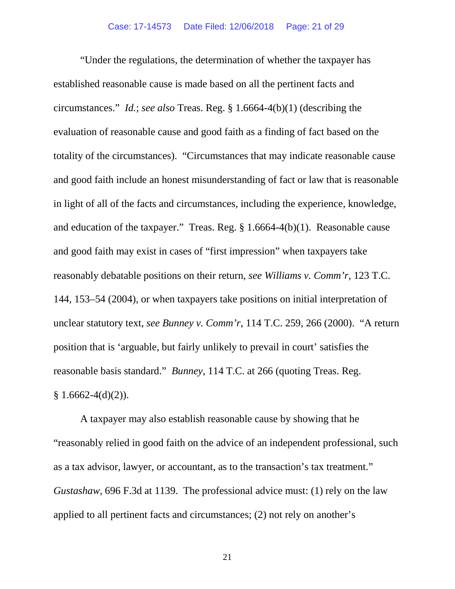"Under the regulations, the determination of whether the taxpayer has established reasonable cause is made based on all the pertinent facts and circumstances." *Id.*; *see also* Treas. Reg. § 1.6664-4(b)(1) (describing the evaluation of reasonable cause and good faith as a finding of fact based on the totality of the circumstances). "Circumstances that may indicate reasonable cause and good faith include an honest misunderstanding of fact or law that is reasonable in light of all of the facts and [circumstances,](https://www.law.cornell.edu/definitions/index.php?width=840&height=800&iframe=true&def_id=c6952e9555e878985d851b32043818c2&term_occur=2&term_src=Title:26:Chapter:I:Subchapter:A:Part:1:Subjgrp:17:1.6664-4) including the experience, knowledge, and education of the [taxpayer.](https://www.law.cornell.edu/definitions/index.php?width=840&height=800&iframe=true&def_id=a1d17b090573400bd6a03dd4fbedfbdc&term_occur=6&term_src=Title:26:Chapter:I:Subchapter:A:Part:1:Subjgrp:17:1.6664-4)" Treas. Reg. § 1.6664-4(b)(1). Reasonable cause and good faith may exist in cases of "first impression" when taxpayers take reasonably debatable positions on their return, *see Williams v. Comm'r*, 123 T.C. 144, 153–54 (2004), or when taxpayers take positions on initial interpretation of unclear statutory text, *see Bunney v. Comm'r*, 114 T.C. 259, 266 (2000). "A return position that is 'arguable, but fairly unlikely to prevail in court' satisfies the reasonable basis standard." *Bunney*, 114 T.C. at 266 (quoting Treas. Reg.  $§ 1.6662-4(d)(2)).$ 

A taxpayer may also establish reasonable cause by showing that he "reasonably relied in good faith on the advice of an independent professional, such as a tax advisor, lawyer, or accountant, as to the transaction's tax treatment." *Gustashaw*, 696 F.3d at 1139. The professional advice must: (1) rely on the law applied to all pertinent facts and circumstances; (2) not rely on another's

21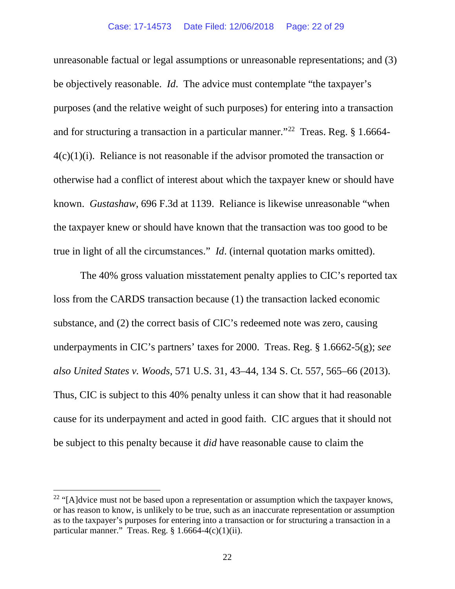unreasonable factual or legal assumptions or unreasonable representations; and (3) be objectively reasonable. *Id*. The advice must contemplate "the taxpayer's [purposes](https://www.law.cornell.edu/definitions/index.php?width=840&height=800&iframe=true&def_id=a79748f585452c9cf3a98317b29ec6c8&term_occur=1&term_src=Title:26:Chapter:I:Subchapter:A:Part:1:Subjgrp:17:1.6664-4) (and the relative weight of such [purposes\)](https://www.law.cornell.edu/definitions/index.php?width=840&height=800&iframe=true&def_id=a79748f585452c9cf3a98317b29ec6c8&term_occur=2&term_src=Title:26:Chapter:I:Subchapter:A:Part:1:Subjgrp:17:1.6664-4) for entering into a transaction and for structuring a transaction in a particular manner."[22](#page-21-0) Treas. Reg. § 1.6664-  $4(c)(1)(i)$ . Reliance is not reasonable if the advisor promoted the transaction or otherwise had a conflict of interest about which the taxpayer knew or should have known. *Gustashaw*, 696 F.3d at 1139. Reliance is likewise unreasonable "when the taxpayer knew or should have known that the transaction was too good to be true in light of all the circumstances." *Id*. (internal quotation marks omitted).

The 40% gross valuation misstatement penalty applies to CIC's reported tax loss from the CARDS transaction because (1) the transaction lacked economic substance, and (2) the correct basis of CIC's redeemed note was zero, causing underpayments in CIC's partners' taxes for 2000. Treas. Reg. § 1.6662-5(g); *see also United States v. Woods*, 571 U.S. 31, 43–44, 134 S. Ct. 557, 565–66 (2013). Thus, CIC is subject to this 40% penalty unless it can show that it had reasonable cause for its underpayment and acted in good faith. CIC argues that it should not be subject to this penalty because it *did* have reasonable cause to claim the

<span id="page-21-0"></span> $22$  "[A]dvice must not be based upon a representation or assumption which the [taxpayer](https://www.law.cornell.edu/definitions/index.php?width=840&height=800&iframe=true&def_id=a1d17b090573400bd6a03dd4fbedfbdc&term_occur=26&term_src=Title:26:Chapter:I:Subchapter:A:Part:1:Subjgrp:17:1.6664-4) knows, or has reason to know, is unlikely to be true, such as an inaccurate representation or assumption as to the [taxpayer'](https://www.law.cornell.edu/definitions/index.php?width=840&height=800&iframe=true&def_id=a1d17b090573400bd6a03dd4fbedfbdc&term_occur=27&term_src=Title:26:Chapter:I:Subchapter:A:Part:1:Subjgrp:17:1.6664-4)s [purposes](https://www.law.cornell.edu/definitions/index.php?width=840&height=800&iframe=true&def_id=a79748f585452c9cf3a98317b29ec6c8&term_occur=3&term_src=Title:26:Chapter:I:Subchapter:A:Part:1:Subjgrp:17:1.6664-4) for entering into a transaction or for structuring a transaction in a particular manner." Treas. Reg.  $§ 1.6664-4(c)(1)(ii)$ .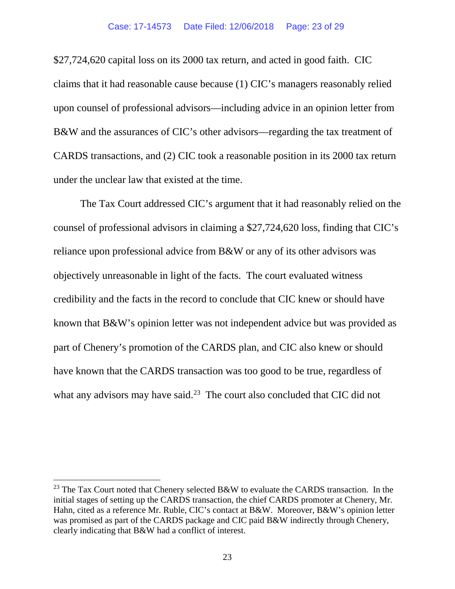\$27,724,620 capital loss on its 2000 tax return, and acted in good faith. CIC claims that it had reasonable cause because (1) CIC's managers reasonably relied upon counsel of professional advisors—including advice in an opinion letter from B&W and the assurances of CIC's other advisors—regarding the tax treatment of CARDS transactions, and (2) CIC took a reasonable position in its 2000 tax return under the unclear law that existed at the time.

The Tax Court addressed CIC's argument that it had reasonably relied on the counsel of professional advisors in claiming a \$27,724,620 loss, finding that CIC's reliance upon professional advice from B&W or any of its other advisors was objectively unreasonable in light of the facts. The court evaluated witness credibility and the facts in the record to conclude that CIC knew or should have known that B&W's opinion letter was not independent advice but was provided as part of Chenery's promotion of the CARDS plan, and CIC also knew or should have known that the CARDS transaction was too good to be true, regardless of what any advisors may have said. $^{23}$  The court also concluded that CIC did not

<span id="page-22-0"></span><sup>&</sup>lt;sup>23</sup> The Tax Court noted that Chenery selected B&W to evaluate the CARDS transaction. In the initial stages of setting up the CARDS transaction, the chief CARDS promoter at Chenery, Mr. Hahn, cited as a reference Mr. Ruble, CIC's contact at B&W. Moreover, B&W's opinion letter was promised as part of the CARDS package and CIC paid B&W indirectly through Chenery, clearly indicating that B&W had a conflict of interest.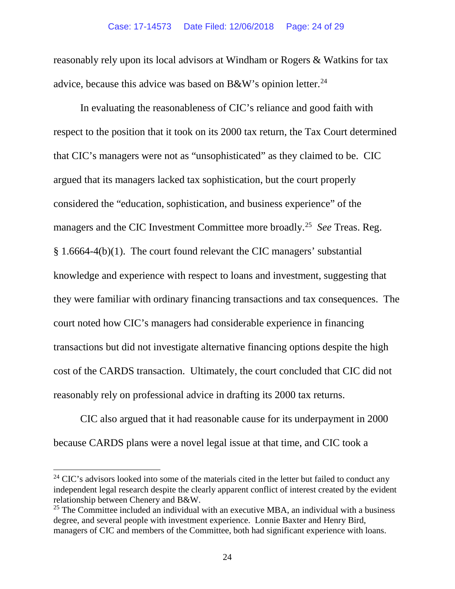#### Case: 17-14573 Date Filed: 12/06/2018 Page: 24 of 29

reasonably rely upon its local advisors at Windham or Rogers & Watkins for tax advice, because this advice was based on  $B\&W$ 's opinion letter.<sup>24</sup>

In evaluating the reasonableness of CIC's reliance and good faith with respect to the position that it took on its 2000 tax return, the Tax Court determined that CIC's managers were not as "unsophisticated" as they claimed to be. CIC argued that its managers lacked tax sophistication, but the court properly considered the "education, sophistication, and business experience" of the managers and the CIC Investment Committee more broadly.[25](#page-23-1) *See* Treas. Reg. § 1.6664-4(b)(1). The court found relevant the CIC managers' substantial knowledge and experience with respect to loans and investment, suggesting that they were familiar with ordinary financing transactions and tax consequences. The court noted how CIC's managers had considerable experience in financing transactions but did not investigate alternative financing options despite the high cost of the CARDS transaction. Ultimately, the court concluded that CIC did not reasonably rely on professional advice in drafting its 2000 tax returns.

CIC also argued that it had reasonable cause for its underpayment in 2000 because CARDS plans were a novel legal issue at that time, and CIC took a

<span id="page-23-0"></span><sup>&</sup>lt;sup>24</sup> CIC's advisors looked into some of the materials cited in the letter but failed to conduct any independent legal research despite the clearly apparent conflict of interest created by the evident relationship between Chenery and B&W.

<span id="page-23-1"></span> $25$  The Committee included an individual with an executive MBA, an individual with a business degree, and several people with investment experience. Lonnie Baxter and Henry Bird, managers of CIC and members of the Committee, both had significant experience with loans.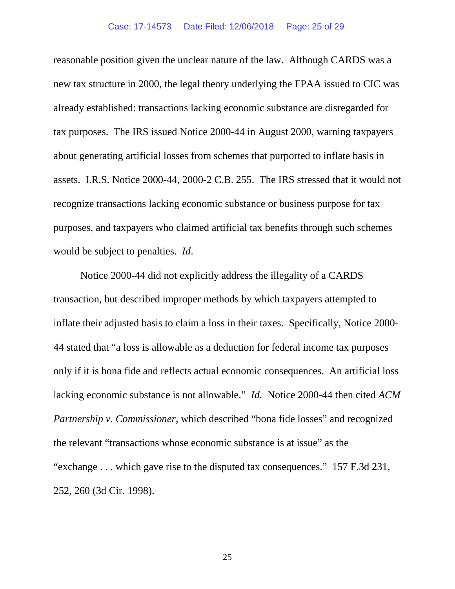#### Case: 17-14573 Date Filed: 12/06/2018 Page: 25 of 29

reasonable position given the unclear nature of the law. Although CARDS was a new tax structure in 2000, the legal theory underlying the FPAA issued to CIC was already established: transactions lacking economic substance are disregarded for tax purposes. The IRS issued Notice 2000-44 in August 2000, warning taxpayers about generating artificial losses from schemes that purported to inflate basis in assets. I.R.S. Notice 2000-44, 2000-2 C.B. 255. The IRS stressed that it would not recognize transactions lacking economic substance or business purpose for tax purposes, and taxpayers who claimed artificial tax benefits through such schemes would be subject to penalties. *Id*.

Notice 2000-44 did not explicitly address the illegality of a CARDS transaction, but described improper methods by which taxpayers attempted to inflate their adjusted basis to claim a loss in their taxes. Specifically, Notice 2000- 44 stated that "a loss is allowable as a deduction for federal income tax purposes only if it is bona fide and reflects actual economic consequences. An artificial loss lacking economic substance is not allowable." *Id.* Notice 2000-44 then cited *ACM Partnership v. Commissioner*, which described "bona fide losses" and recognized the relevant "transactions whose economic substance is at issue" as the "exchange . . . which gave rise to the disputed tax consequences." 157 F.3d 231, 252, 260 (3d Cir. 1998).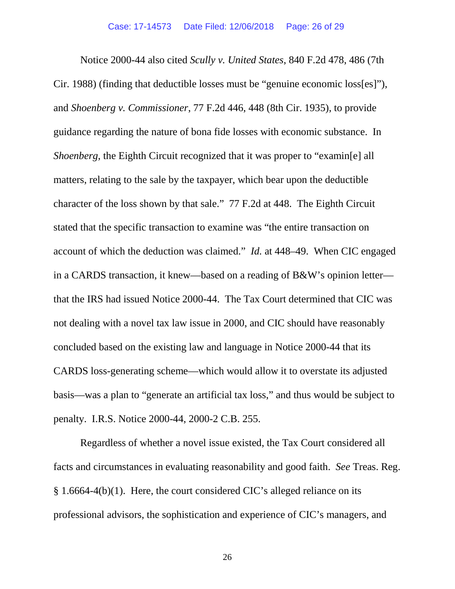Notice 2000-44 also cited *Scully v. United States*, 840 F.2d 478, 486 (7th Cir. 1988) (finding that deductible losses must be "genuine economic loss[es]"), and *Shoenberg v. Commissioner*, 77 F.2d 446, 448 (8th Cir. 1935), to provide guidance regarding the nature of bona fide losses with economic substance. In *Shoenberg*, the Eighth Circuit recognized that it was proper to "examin[e] all matters, relating to the sale by the taxpayer, which bear upon the deductible character of the loss shown by that sale." 77 F.2d at 448. The Eighth Circuit stated that the specific transaction to examine was "the entire transaction on account of which the deduction was claimed." *Id.* at 448–49. When CIC engaged in a CARDS transaction, it knew—based on a reading of B&W's opinion letter that the IRS had issued Notice 2000-44. The Tax Court determined that CIC was not dealing with a novel tax law issue in 2000, and CIC should have reasonably concluded based on the existing law and language in Notice 2000-44 that its CARDS loss-generating scheme—which would allow it to overstate its adjusted basis—was a plan to "generate an artificial tax loss," and thus would be subject to penalty. I.R.S. Notice 2000-44, 2000-2 C.B. 255.

Regardless of whether a novel issue existed, the Tax Court considered all facts and circumstances in evaluating reasonability and good faith. *See* Treas. Reg. § 1.6664-4(b)(1). Here, the court considered CIC's alleged reliance on its professional advisors, the sophistication and experience of CIC's managers, and

26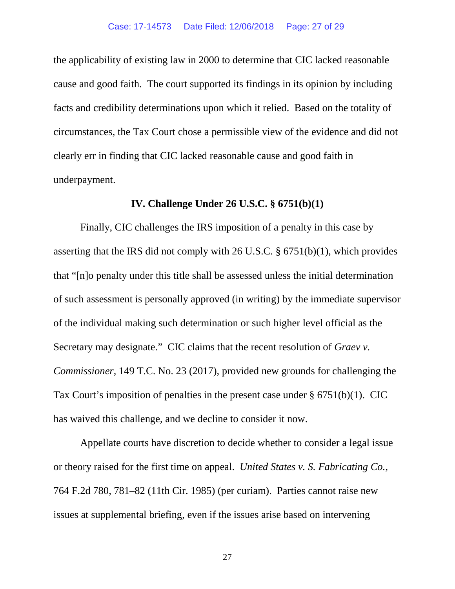the applicability of existing law in 2000 to determine that CIC lacked reasonable cause and good faith. The court supported its findings in its opinion by including facts and credibility determinations upon which it relied. Based on the totality of circumstances, the Tax Court chose a permissible view of the evidence and did not clearly err in finding that CIC lacked reasonable cause and good faith in underpayment.

# **IV. Challenge Under 26 U.S.C. § 6751(b)(1)**

Finally, CIC challenges the IRS imposition of a penalty in this case by asserting that the IRS did not comply with 26 U.S.C. § 6751(b)(1), which provides that "[n]o penalty under this title shall be assessed unless the initial determination of such assessment is personally approved (in writing) by the immediate supervisor of the individual making such determination or such higher level official as the Secretary may designate." CIC claims that the recent resolution of *Graev v. Commissioner*, 149 T.C. No. 23 (2017), provided new grounds for challenging the Tax Court's imposition of penalties in the present case under § 6751(b)(1). CIC has waived this challenge, and we decline to consider it now.

Appellate courts have discretion to decide whether to consider a legal issue or theory raised for the first time on appeal. *United States v. S. Fabricating Co.*, 764 F.2d 780, 781–82 (11th Cir. 1985) (per curiam). Parties cannot raise new issues at supplemental briefing, even if the issues arise based on intervening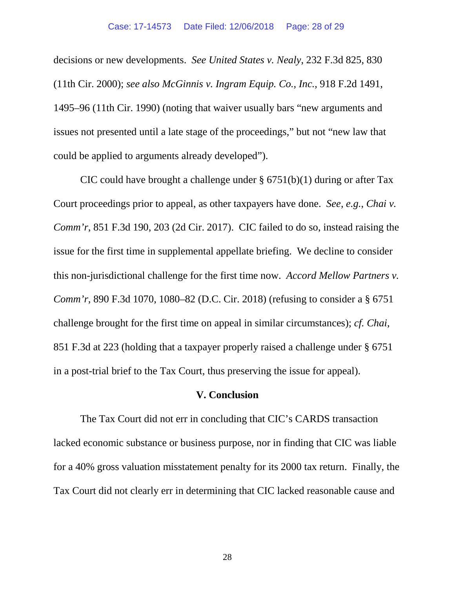decisions or new developments. *See United States v. Nealy*, 232 F.3d 825, 830 (11th Cir. 2000); *see also McGinnis v. Ingram Equip. Co., Inc.*, 918 F.2d 1491, 1495–96 (11th Cir. 1990) (noting that waiver usually bars "new arguments and issues not presented until a late stage of the proceedings," but not "new law that could be applied to arguments already developed").

CIC could have brought a challenge under  $\S 6751(b)(1)$  during or after Tax Court proceedings prior to appeal, as other taxpayers have done. *See, e.g.*, *Chai v. Comm'r*, 851 F.3d 190, 203 (2d Cir. 2017). CIC failed to do so, instead raising the issue for the first time in supplemental appellate briefing. We decline to consider this non-jurisdictional challenge for the first time now. *Accord Mellow Partners v. Comm'r*, 890 F.3d 1070, 1080–82 (D.C. Cir. 2018) (refusing to consider a § 6751 challenge brought for the first time on appeal in similar circumstances); *cf. Chai*, 851 F.3d at 223 (holding that a taxpayer properly raised a challenge under § 6751 in a post-trial brief to the Tax Court, thus preserving the issue for appeal).

# **V. Conclusion**

The Tax Court did not err in concluding that CIC's CARDS transaction lacked economic substance or business purpose, nor in finding that CIC was liable for a 40% gross valuation misstatement penalty for its 2000 tax return. Finally, the Tax Court did not clearly err in determining that CIC lacked reasonable cause and